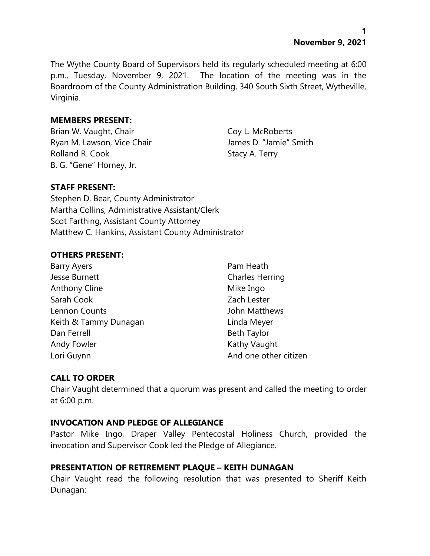**1 November 9, 2021**

The Wythe County Board of Supervisors held its regularly scheduled meeting at 6:00 p.m., Tuesday, November 9, 2021. The location of the meeting was in the Boardroom of the County Administration Building, 340 South Sixth Street, Wytheville, Virginia.

#### **MEMBERS PRESENT:**

Brian W. Vaught, Chair Coy L. McRoberts Ryan M. Lawson, Vice Chair **James D. "Jamie"** Smith Rolland R. Cook Stacy A. Terry B. G. "Gene" Horney, Jr.

### **STAFF PRESENT:**

Stephen D. Bear, County Administrator Martha Collins, Administrative Assistant/Clerk Scot Farthing, Assistant County Attorney Matthew C. Hankins, Assistant County Administrator

### **OTHERS PRESENT:**

| <b>Barry Ayers</b>    | Pam Heath              |
|-----------------------|------------------------|
| Jesse Burnett         | <b>Charles Herring</b> |
| <b>Anthony Cline</b>  | Mike Ingo              |
| Sarah Cook            | Zach Lester            |
| Lennon Counts         | John Matthews          |
| Keith & Tammy Dunagan | Linda Meyer            |
| Dan Ferrell           | <b>Beth Taylor</b>     |
| Andy Fowler           | Kathy Vaught           |
| Lori Guynn            | And one other citizen  |

### **CALL TO ORDER**

Chair Vaught determined that a quorum was present and called the meeting to order at 6:00 p.m.

#### **INVOCATION AND PLEDGE OF ALLEGIANCE**

Pastor Mike Ingo, Draper Valley Pentecostal Holiness Church, provided the invocation and Supervisor Cook led the Pledge of Allegiance.

#### **PRESENTATION OF RETIREMENT PLAQUE – KEITH DUNAGAN**

Chair Vaught read the following resolution that was presented to Sheriff Keith Dunagan: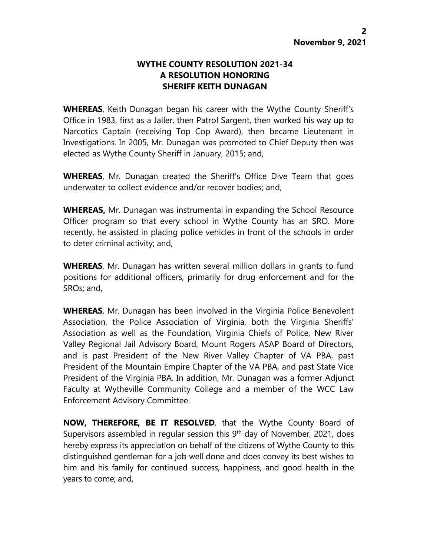## **WYTHE COUNTY RESOLUTION 2021-34 A RESOLUTION HONORING SHERIFF KEITH DUNAGAN**

**WHEREAS**, Keith Dunagan began his career with the Wythe County Sheriff's Office in 1983, first as a Jailer, then Patrol Sargent, then worked his way up to Narcotics Captain (receiving Top Cop Award), then became Lieutenant in Investigations. In 2005, Mr. Dunagan was promoted to Chief Deputy then was elected as Wythe County Sheriff in January, 2015; and,

**WHEREAS**, Mr. Dunagan created the Sheriff's Office Dive Team that goes underwater to collect evidence and/or recover bodies; and,

**WHEREAS,** Mr. Dunagan was instrumental in expanding the School Resource Officer program so that every school in Wythe County has an SRO. More recently, he assisted in placing police vehicles in front of the schools in order to deter criminal activity; and,

**WHEREAS**, Mr. Dunagan has written several million dollars in grants to fund positions for additional officers, primarily for drug enforcement and for the SROs; and,

**WHEREAS**, Mr. Dunagan has been involved in the Virginia Police Benevolent Association, the Police Association of Virginia, both the Virginia Sheriffs' Association as well as the Foundation, Virginia Chiefs of Police, New River Valley Regional Jail Advisory Board, Mount Rogers ASAP Board of Directors, and is past President of the New River Valley Chapter of VA PBA, past President of the Mountain Empire Chapter of the VA PBA, and past State Vice President of the Virginia PBA. In addition, Mr. Dunagan was a former Adjunct Faculty at Wytheville Community College and a member of the WCC Law Enforcement Advisory Committee.

**NOW, THEREFORE, BE IT RESOLVED**, that the Wythe County Board of Supervisors assembled in regular session this  $9<sup>th</sup>$  day of November, 2021, does hereby express its appreciation on behalf of the citizens of Wythe County to this distinguished gentleman for a job well done and does convey its best wishes to him and his family for continued success, happiness, and good health in the years to come; and,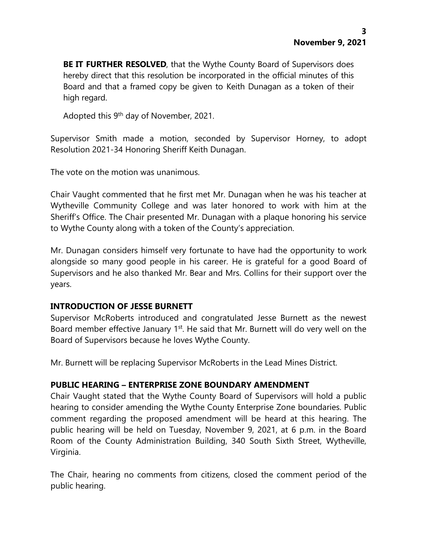**BE IT FURTHER RESOLVED**, that the Wythe County Board of Supervisors does hereby direct that this resolution be incorporated in the official minutes of this Board and that a framed copy be given to Keith Dunagan as a token of their high regard.

Adopted this 9<sup>th</sup> day of November, 2021.

Supervisor Smith made a motion, seconded by Supervisor Horney, to adopt Resolution 2021-34 Honoring Sheriff Keith Dunagan.

The vote on the motion was unanimous.

Chair Vaught commented that he first met Mr. Dunagan when he was his teacher at Wytheville Community College and was later honored to work with him at the Sheriff's Office. The Chair presented Mr. Dunagan with a plaque honoring his service to Wythe County along with a token of the County's appreciation.

Mr. Dunagan considers himself very fortunate to have had the opportunity to work alongside so many good people in his career. He is grateful for a good Board of Supervisors and he also thanked Mr. Bear and Mrs. Collins for their support over the years.

#### **INTRODUCTION OF JESSE BURNETT**

Supervisor McRoberts introduced and congratulated Jesse Burnett as the newest Board member effective January 1<sup>st</sup>. He said that Mr. Burnett will do very well on the Board of Supervisors because he loves Wythe County.

Mr. Burnett will be replacing Supervisor McRoberts in the Lead Mines District.

### **PUBLIC HEARING – ENTERPRISE ZONE BOUNDARY AMENDMENT**

Chair Vaught stated that the Wythe County Board of Supervisors will hold a public hearing to consider amending the Wythe County Enterprise Zone boundaries. Public comment regarding the proposed amendment will be heard at this hearing. The public hearing will be held on Tuesday, November 9, 2021, at 6 p.m. in the Board Room of the County Administration Building, 340 South Sixth Street, Wytheville, Virginia.

The Chair, hearing no comments from citizens, closed the comment period of the public hearing.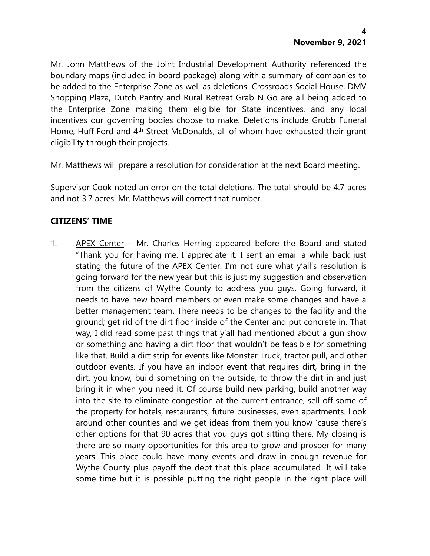Mr. John Matthews of the Joint Industrial Development Authority referenced the boundary maps (included in board package) along with a summary of companies to be added to the Enterprise Zone as well as deletions. Crossroads Social House, DMV Shopping Plaza, Dutch Pantry and Rural Retreat Grab N Go are all being added to the Enterprise Zone making them eligible for State incentives, and any local incentives our governing bodies choose to make. Deletions include Grubb Funeral Home, Huff Ford and 4<sup>th</sup> Street McDonalds, all of whom have exhausted their grant eligibility through their projects.

Mr. Matthews will prepare a resolution for consideration at the next Board meeting.

Supervisor Cook noted an error on the total deletions. The total should be 4.7 acres and not 3.7 acres. Mr. Matthews will correct that number.

## **CITIZENS' TIME**

1. APEX Center – Mr. Charles Herring appeared before the Board and stated "Thank you for having me. I appreciate it. I sent an email a while back just stating the future of the APEX Center. I'm not sure what y'all's resolution is going forward for the new year but this is just my suggestion and observation from the citizens of Wythe County to address you guys. Going forward, it needs to have new board members or even make some changes and have a better management team. There needs to be changes to the facility and the ground; get rid of the dirt floor inside of the Center and put concrete in. That way, I did read some past things that y'all had mentioned about a gun show or something and having a dirt floor that wouldn't be feasible for something like that. Build a dirt strip for events like Monster Truck, tractor pull, and other outdoor events. If you have an indoor event that requires dirt, bring in the dirt, you know, build something on the outside, to throw the dirt in and just bring it in when you need it. Of course build new parking, build another way into the site to eliminate congestion at the current entrance, sell off some of the property for hotels, restaurants, future businesses, even apartments. Look around other counties and we get ideas from them you know 'cause there's other options for that 90 acres that you guys got sitting there. My closing is there are so many opportunities for this area to grow and prosper for many years. This place could have many events and draw in enough revenue for Wythe County plus payoff the debt that this place accumulated. It will take some time but it is possible putting the right people in the right place will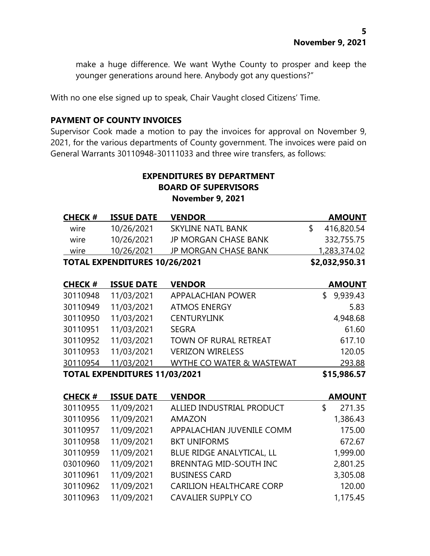make a huge difference. We want Wythe County to prosper and keep the younger generations around here. Anybody got any questions?"

With no one else signed up to speak, Chair Vaught closed Citizens' Time.

### **PAYMENT OF COUNTY INVOICES**

Supervisor Cook made a motion to pay the invoices for approval on November 9, 2021, for the various departments of County government. The invoices were paid on General Warrants 30110948-30111033 and three wire transfers, as follows:

## **EXPENDITURES BY DEPARTMENT BOARD OF SUPERVISORS November 9, 2021**

| <b>CHECK#</b> | <b>ISSUE DATE</b>                    | <b>VENDOR</b>               | AMOUNT         |
|---------------|--------------------------------------|-----------------------------|----------------|
| wire          | 10/26/2021                           | SKYLINE NATL BANK           | 416,820.54     |
| wire          | 10/26/2021                           | <b>JP MORGAN CHASE BANK</b> | 332,755.75     |
| wire          | 10/26/2021                           | <b>JP MORGAN CHASE BANK</b> | 1,283,374.02   |
|               | <b>TOTAL EXPENDITURES 10/26/2021</b> |                             | \$2,032,950.31 |

| <b>CHECK#</b> | <b>ISSUE DATE</b>                    | <b>VENDOR</b>             | <b>AMOUNT</b>  |
|---------------|--------------------------------------|---------------------------|----------------|
| 30110948      | 11/03/2021                           | <b>APPALACHIAN POWER</b>  | 9,939.43<br>S. |
| 30110949      | 11/03/2021                           | <b>ATMOS ENERGY</b>       | 5.83           |
| 30110950      | 11/03/2021                           | <b>CENTURYLINK</b>        | 4,948.68       |
| 30110951      | 11/03/2021                           | <b>SEGRA</b>              | 61.60          |
| 30110952      | 11/03/2021                           | TOWN OF RURAL RETREAT     | 617.10         |
| 30110953      | 11/03/2021                           | <b>VERIZON WIRELESS</b>   | 120.05         |
| 30110954      | 11/03/2021                           | WYTHE CO WATER & WASTEWAT | 293.88         |
|               | <b>TOTAL EXPENDITURES 11/03/2021</b> |                           | \$15,986.57    |

| <b>CHECK#</b> | <b>ISSUE DATE</b> | <b>VENDOR</b>                   | <b>AMOUNT</b> |
|---------------|-------------------|---------------------------------|---------------|
| 30110955      | 11/09/2021        | ALLIED INDUSTRIAL PRODUCT       | 271.35<br>\$  |
| 30110956      | 11/09/2021        | <b>AMAZON</b>                   | 1,386.43      |
| 30110957      | 11/09/2021        | APPALACHIAN JUVENILE COMM       | 175.00        |
| 30110958      | 11/09/2021        | <b>BKT UNIFORMS</b>             | 672.67        |
| 30110959      | 11/09/2021        | BLUE RIDGE ANALYTICAL, LL       | 1,999.00      |
| 03010960      | 11/09/2021        | <b>BRENNTAG MID-SOUTH INC</b>   | 2,801.25      |
| 30110961      | 11/09/2021        | <b>BUSINESS CARD</b>            | 3,305.08      |
| 30110962      | 11/09/2021        | <b>CARILION HEALTHCARE CORP</b> | 120.00        |
| 30110963      | 11/09/2021        | <b>CAVALIER SUPPLY CO</b>       | 1,175.45      |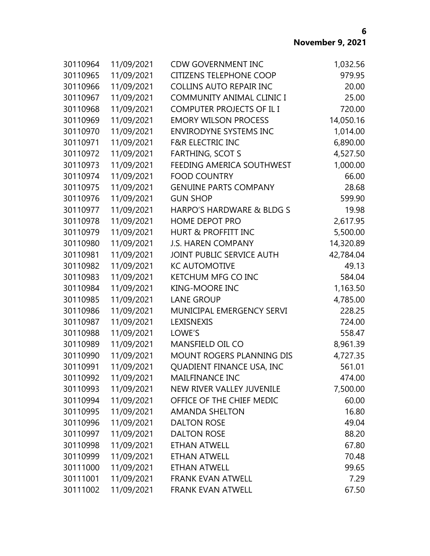| 30110964 | 11/09/2021 | <b>CDW GOVERNMENT INC</b>        | 1,032.56  |
|----------|------------|----------------------------------|-----------|
| 30110965 | 11/09/2021 | <b>CITIZENS TELEPHONE COOP</b>   | 979.95    |
| 30110966 | 11/09/2021 | <b>COLLINS AUTO REPAIR INC</b>   | 20.00     |
| 30110967 | 11/09/2021 | <b>COMMUNITY ANIMAL CLINIC I</b> | 25.00     |
| 30110968 | 11/09/2021 | COMPUTER PROJECTS OF IL I        | 720.00    |
| 30110969 | 11/09/2021 | <b>EMORY WILSON PROCESS</b>      | 14,050.16 |
| 30110970 | 11/09/2021 | <b>ENVIRODYNE SYSTEMS INC</b>    | 1,014.00  |
| 30110971 | 11/09/2021 | <b>F&amp;R ELECTRIC INC</b>      | 6,890.00  |
| 30110972 | 11/09/2021 | <b>FARTHING, SCOT S</b>          | 4,527.50  |
| 30110973 | 11/09/2021 | FEEDING AMERICA SOUTHWEST        | 1,000.00  |
| 30110974 | 11/09/2021 | <b>FOOD COUNTRY</b>              | 66.00     |
| 30110975 | 11/09/2021 | <b>GENUINE PARTS COMPANY</b>     | 28.68     |
| 30110976 | 11/09/2021 | <b>GUN SHOP</b>                  | 599.90    |
| 30110977 | 11/09/2021 | HARPO'S HARDWARE & BLDG S        | 19.98     |
| 30110978 | 11/09/2021 | <b>HOME DEPOT PRO</b>            | 2,617.95  |
| 30110979 | 11/09/2021 | <b>HURT &amp; PROFFITT INC</b>   | 5,500.00  |
| 30110980 | 11/09/2021 | <b>J.S. HAREN COMPANY</b>        | 14,320.89 |
| 30110981 | 11/09/2021 | JOINT PUBLIC SERVICE AUTH        | 42,784.04 |
| 30110982 | 11/09/2021 | <b>KC AUTOMOTIVE</b>             | 49.13     |
| 30110983 | 11/09/2021 | KETCHUM MFG CO INC               | 584.04    |
| 30110984 | 11/09/2021 | <b>KING-MOORE INC</b>            | 1,163.50  |
| 30110985 | 11/09/2021 | <b>LANE GROUP</b>                | 4,785.00  |
| 30110986 | 11/09/2021 | MUNICIPAL EMERGENCY SERVI        | 228.25    |
| 30110987 | 11/09/2021 | LEXISNEXIS                       | 724.00    |
| 30110988 | 11/09/2021 | LOWE'S                           | 558.47    |
| 30110989 | 11/09/2021 | <b>MANSFIELD OIL CO</b>          | 8,961.39  |
| 30110990 | 11/09/2021 | MOUNT ROGERS PLANNING DIS        | 4,727.35  |
| 30110991 | 11/09/2021 | QUADIENT FINANCE USA, INC        | 561.01    |
| 30110992 | 11/09/2021 | <b>MAILFINANCE INC</b>           | 474.00    |
| 30110993 | 11/09/2021 | <b>NEW RIVER VALLEY JUVENILE</b> | 7,500.00  |
| 30110994 | 11/09/2021 | OFFICE OF THE CHIEF MEDIC        | 60.00     |
| 30110995 | 11/09/2021 | <b>AMANDA SHELTON</b>            | 16.80     |
| 30110996 | 11/09/2021 | <b>DALTON ROSE</b>               | 49.04     |
| 30110997 | 11/09/2021 | <b>DALTON ROSE</b>               | 88.20     |
| 30110998 | 11/09/2021 | <b>ETHAN ATWELL</b>              | 67.80     |
| 30110999 | 11/09/2021 | <b>ETHAN ATWELL</b>              | 70.48     |
| 30111000 | 11/09/2021 | <b>ETHAN ATWELL</b>              | 99.65     |
| 30111001 | 11/09/2021 | <b>FRANK EVAN ATWELL</b>         | 7.29      |
| 30111002 | 11/09/2021 | <b>FRANK EVAN ATWELL</b>         | 67.50     |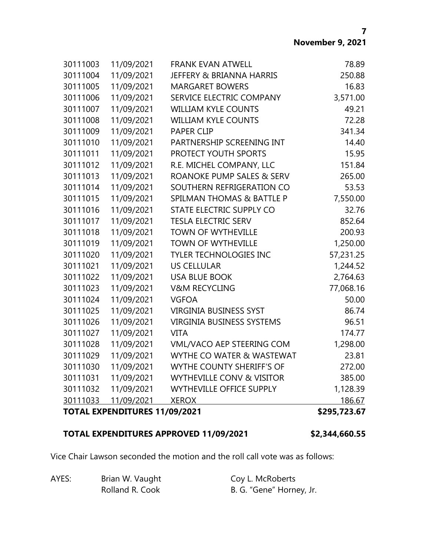|          | <b>TOTAL EXPENDITURES 11/09/2021</b> |                                      | \$295,723.67 |
|----------|--------------------------------------|--------------------------------------|--------------|
| 30111033 | 11/09/2021                           | <b>XEROX</b>                         | 186.67       |
| 30111032 | 11/09/2021                           | <b>WYTHEVILLE OFFICE SUPPLY</b>      | 1,128.39     |
| 30111031 | 11/09/2021                           | <b>WYTHEVILLE CONV &amp; VISITOR</b> | 385.00       |
| 30111030 | 11/09/2021                           | WYTHE COUNTY SHERIFF'S OF            | 272.00       |
| 30111029 | 11/09/2021                           | WYTHE CO WATER & WASTEWAT            | 23.81        |
| 30111028 | 11/09/2021                           | VML/VACO AEP STEERING COM            | 1,298.00     |
| 30111027 | 11/09/2021                           | <b>VITA</b>                          | 174.77       |
| 30111026 | 11/09/2021                           | <b>VIRGINIA BUSINESS SYSTEMS</b>     | 96.51        |
| 30111025 | 11/09/2021                           | <b>VIRGINIA BUSINESS SYST</b>        | 86.74        |
| 30111024 | 11/09/2021                           | <b>VGFOA</b>                         | 50.00        |
| 30111023 | 11/09/2021                           | <b>V&amp;M RECYCLING</b>             | 77,068.16    |
| 30111022 | 11/09/2021                           | <b>USA BLUE BOOK</b>                 | 2,764.63     |
| 30111021 | 11/09/2021                           | <b>US CELLULAR</b>                   | 1,244.52     |
| 30111020 | 11/09/2021                           | <b>TYLER TECHNOLOGIES INC</b>        | 57,231.25    |
| 30111019 | 11/09/2021                           | <b>TOWN OF WYTHEVILLE</b>            | 1,250.00     |
| 30111018 | 11/09/2021                           | <b>TOWN OF WYTHEVILLE</b>            | 200.93       |
| 30111017 | 11/09/2021                           | <b>TESLA ELECTRIC SERV</b>           | 852.64       |
| 30111016 | 11/09/2021                           | STATE ELECTRIC SUPPLY CO             | 32.76        |
| 30111015 | 11/09/2021                           | <b>SPILMAN THOMAS &amp; BATTLE P</b> | 7,550.00     |
| 30111014 | 11/09/2021                           | SOUTHERN REFRIGERATION CO            | 53.53        |
| 30111013 | 11/09/2021                           | ROANOKE PUMP SALES & SERV            | 265.00       |
| 30111012 | 11/09/2021                           | R.E. MICHEL COMPANY, LLC             | 151.84       |
| 30111011 | 11/09/2021                           | PROTECT YOUTH SPORTS                 | 15.95        |
| 30111010 | 11/09/2021                           | PARTNERSHIP SCREENING INT            | 14.40        |
| 30111009 | 11/09/2021                           | <b>PAPER CLIP</b>                    | 341.34       |
| 30111008 | 11/09/2021                           | <b>WILLIAM KYLE COUNTS</b>           | 72.28        |
| 30111007 | 11/09/2021                           | <b>WILLIAM KYLE COUNTS</b>           | 49.21        |
| 30111006 | 11/09/2021                           | SERVICE ELECTRIC COMPANY             | 3,571.00     |
| 30111005 | 11/09/2021                           | <b>MARGARET BOWERS</b>               | 16.83        |
| 30111004 | 11/09/2021                           | <b>JEFFERY &amp; BRIANNA HARRIS</b>  | 250.88       |
| 30111003 | 11/09/2021                           | <b>FRANK EVAN ATWELL</b>             | 78.89        |

## **TOTAL EXPENDITURES APPROVED 11/09/2021 \$2,344,660.55**

Vice Chair Lawson seconded the motion and the roll call vote was as follows:

| AYES: | Brian W. Vaught | Coy L. McRoberts         |
|-------|-----------------|--------------------------|
|       | Rolland R. Cook | B. G. "Gene" Horney, Jr. |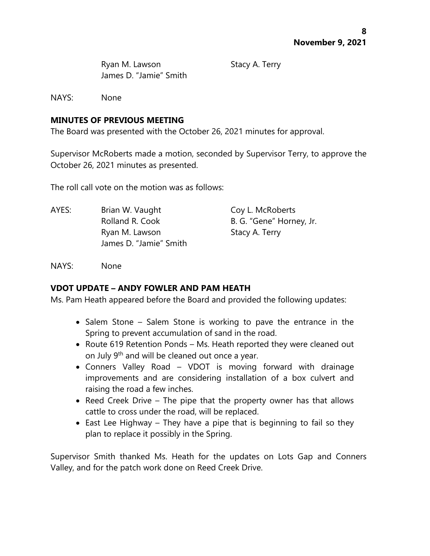Ryan M. Lawson Stacy A. Terry James D. "Jamie" Smith

NAYS: None

## **MINUTES OF PREVIOUS MEETING**

The Board was presented with the October 26, 2021 minutes for approval.

Supervisor McRoberts made a motion, seconded by Supervisor Terry, to approve the October 26, 2021 minutes as presented.

The roll call vote on the motion was as follows:

AYES: Brian W. Vaught Coy L. McRoberts Rolland R. Cook B. G. "Gene" Horney, Jr. Ryan M. Lawson Stacy A. Terry James D. "Jamie" Smith

NAYS: None

# **VDOT UPDATE – ANDY FOWLER AND PAM HEATH**

Ms. Pam Heath appeared before the Board and provided the following updates:

- Salem Stone Salem Stone is working to pave the entrance in the Spring to prevent accumulation of sand in the road.
- Route 619 Retention Ponds Ms. Heath reported they were cleaned out on July 9<sup>th</sup> and will be cleaned out once a year.
- Conners Valley Road VDOT is moving forward with drainage improvements and are considering installation of a box culvert and raising the road a few inches.
- Reed Creek Drive The pipe that the property owner has that allows cattle to cross under the road, will be replaced.
- East Lee Highway They have a pipe that is beginning to fail so they plan to replace it possibly in the Spring.

Supervisor Smith thanked Ms. Heath for the updates on Lots Gap and Conners Valley, and for the patch work done on Reed Creek Drive.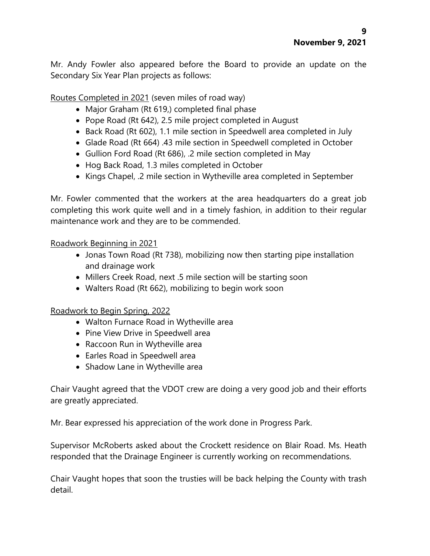Mr. Andy Fowler also appeared before the Board to provide an update on the Secondary Six Year Plan projects as follows:

Routes Completed in 2021 (seven miles of road way)

- Major Graham (Rt 619,) completed final phase
- Pope Road (Rt 642), 2.5 mile project completed in August
- Back Road (Rt 602), 1.1 mile section in Speedwell area completed in July
- Glade Road (Rt 664) .43 mile section in Speedwell completed in October
- Gullion Ford Road (Rt 686), .2 mile section completed in May
- Hog Back Road, 1.3 miles completed in October
- Kings Chapel, .2 mile section in Wytheville area completed in September

Mr. Fowler commented that the workers at the area headquarters do a great job completing this work quite well and in a timely fashion, in addition to their regular maintenance work and they are to be commended.

## Roadwork Beginning in 2021

- Jonas Town Road (Rt 738), mobilizing now then starting pipe installation and drainage work
- Millers Creek Road, next .5 mile section will be starting soon
- Walters Road (Rt 662), mobilizing to begin work soon

# Roadwork to Begin Spring, 2022

- Walton Furnace Road in Wytheville area
- Pine View Drive in Speedwell area
- Raccoon Run in Wytheville area
- Earles Road in Speedwell area
- Shadow Lane in Wytheville area

Chair Vaught agreed that the VDOT crew are doing a very good job and their efforts are greatly appreciated.

Mr. Bear expressed his appreciation of the work done in Progress Park.

Supervisor McRoberts asked about the Crockett residence on Blair Road. Ms. Heath responded that the Drainage Engineer is currently working on recommendations.

Chair Vaught hopes that soon the trusties will be back helping the County with trash detail.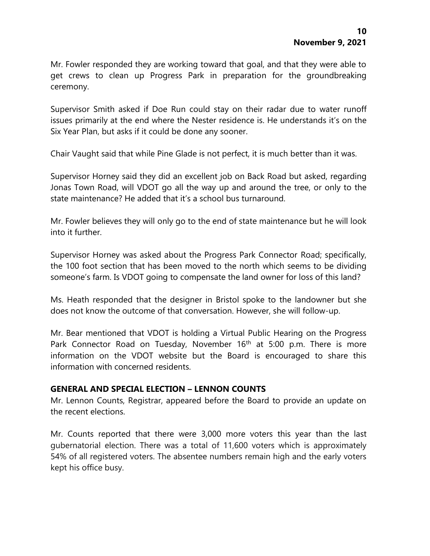Mr. Fowler responded they are working toward that goal, and that they were able to get crews to clean up Progress Park in preparation for the groundbreaking ceremony.

Supervisor Smith asked if Doe Run could stay on their radar due to water runoff issues primarily at the end where the Nester residence is. He understands it's on the Six Year Plan, but asks if it could be done any sooner.

Chair Vaught said that while Pine Glade is not perfect, it is much better than it was.

Supervisor Horney said they did an excellent job on Back Road but asked, regarding Jonas Town Road, will VDOT go all the way up and around the tree, or only to the state maintenance? He added that it's a school bus turnaround.

Mr. Fowler believes they will only go to the end of state maintenance but he will look into it further.

Supervisor Horney was asked about the Progress Park Connector Road; specifically, the 100 foot section that has been moved to the north which seems to be dividing someone's farm. Is VDOT going to compensate the land owner for loss of this land?

Ms. Heath responded that the designer in Bristol spoke to the landowner but she does not know the outcome of that conversation. However, she will follow-up.

Mr. Bear mentioned that VDOT is holding a Virtual Public Hearing on the Progress Park Connector Road on Tuesday, November 16<sup>th</sup> at 5:00 p.m. There is more information on the VDOT website but the Board is encouraged to share this information with concerned residents.

### **GENERAL AND SPECIAL ELECTION – LENNON COUNTS**

Mr. Lennon Counts, Registrar, appeared before the Board to provide an update on the recent elections.

Mr. Counts reported that there were 3,000 more voters this year than the last gubernatorial election. There was a total of 11,600 voters which is approximately 54% of all registered voters. The absentee numbers remain high and the early voters kept his office busy.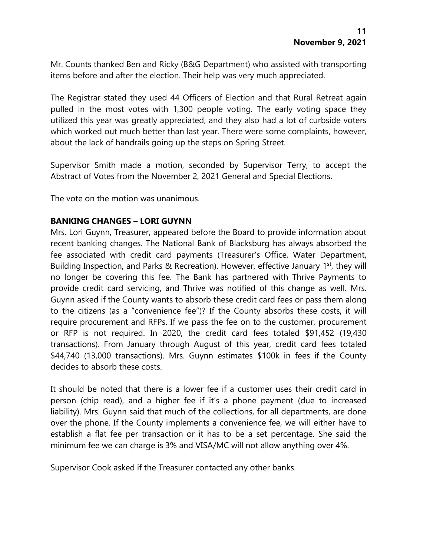Mr. Counts thanked Ben and Ricky (B&G Department) who assisted with transporting items before and after the election. Their help was very much appreciated.

The Registrar stated they used 44 Officers of Election and that Rural Retreat again pulled in the most votes with 1,300 people voting. The early voting space they utilized this year was greatly appreciated, and they also had a lot of curbside voters which worked out much better than last year. There were some complaints, however, about the lack of handrails going up the steps on Spring Street.

Supervisor Smith made a motion, seconded by Supervisor Terry, to accept the Abstract of Votes from the November 2, 2021 General and Special Elections.

The vote on the motion was unanimous.

### **BANKING CHANGES – LORI GUYNN**

Mrs. Lori Guynn, Treasurer, appeared before the Board to provide information about recent banking changes. The National Bank of Blacksburg has always absorbed the fee associated with credit card payments (Treasurer's Office, Water Department, Building Inspection, and Parks & Recreation). However, effective January 1<sup>st</sup>, they will no longer be covering this fee. The Bank has partnered with Thrive Payments to provide credit card servicing, and Thrive was notified of this change as well. Mrs. Guynn asked if the County wants to absorb these credit card fees or pass them along to the citizens (as a "convenience fee")? If the County absorbs these costs, it will require procurement and RFPs. If we pass the fee on to the customer, procurement or RFP is not required. In 2020, the credit card fees totaled \$91,452 (19,430 transactions). From January through August of this year, credit card fees totaled \$44,740 (13,000 transactions). Mrs. Guynn estimates \$100k in fees if the County decides to absorb these costs.

It should be noted that there is a lower fee if a customer uses their credit card in person (chip read), and a higher fee if it's a phone payment (due to increased liability). Mrs. Guynn said that much of the collections, for all departments, are done over the phone. If the County implements a convenience fee, we will either have to establish a flat fee per transaction or it has to be a set percentage. She said the minimum fee we can charge is 3% and VISA/MC will not allow anything over 4%.

Supervisor Cook asked if the Treasurer contacted any other banks.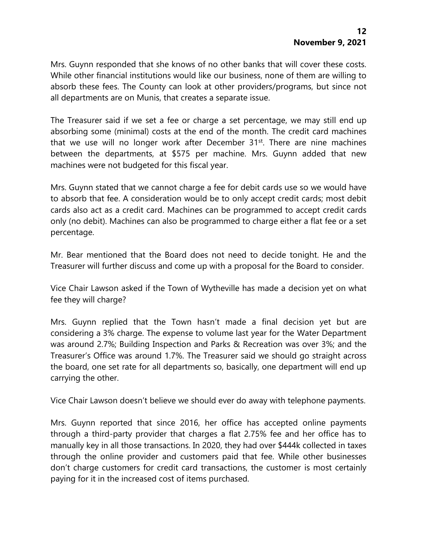Mrs. Guynn responded that she knows of no other banks that will cover these costs. While other financial institutions would like our business, none of them are willing to absorb these fees. The County can look at other providers/programs, but since not all departments are on Munis, that creates a separate issue.

The Treasurer said if we set a fee or charge a set percentage, we may still end up absorbing some (minimal) costs at the end of the month. The credit card machines that we use will no longer work after December 31<sup>st</sup>. There are nine machines between the departments, at \$575 per machine. Mrs. Guynn added that new machines were not budgeted for this fiscal year.

Mrs. Guynn stated that we cannot charge a fee for debit cards use so we would have to absorb that fee. A consideration would be to only accept credit cards; most debit cards also act as a credit card. Machines can be programmed to accept credit cards only (no debit). Machines can also be programmed to charge either a flat fee or a set percentage.

Mr. Bear mentioned that the Board does not need to decide tonight. He and the Treasurer will further discuss and come up with a proposal for the Board to consider.

Vice Chair Lawson asked if the Town of Wytheville has made a decision yet on what fee they will charge?

Mrs. Guynn replied that the Town hasn't made a final decision yet but are considering a 3% charge. The expense to volume last year for the Water Department was around 2.7%; Building Inspection and Parks & Recreation was over 3%; and the Treasurer's Office was around 1.7%. The Treasurer said we should go straight across the board, one set rate for all departments so, basically, one department will end up carrying the other.

Vice Chair Lawson doesn't believe we should ever do away with telephone payments.

Mrs. Guynn reported that since 2016, her office has accepted online payments through a third-party provider that charges a flat 2.75% fee and her office has to manually key in all those transactions. In 2020, they had over \$444k collected in taxes through the online provider and customers paid that fee. While other businesses don't charge customers for credit card transactions, the customer is most certainly paying for it in the increased cost of items purchased.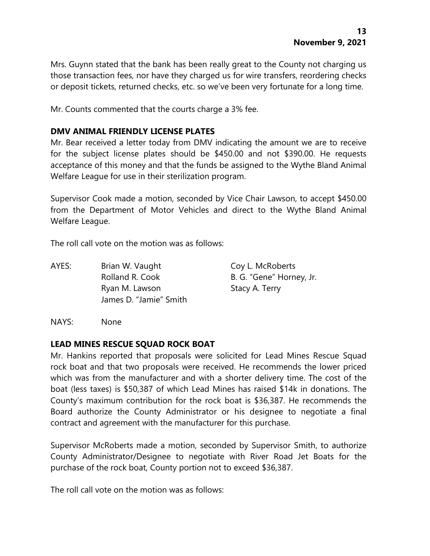Mrs. Guynn stated that the bank has been really great to the County not charging us those transaction fees, nor have they charged us for wire transfers, reordering checks or deposit tickets, returned checks, etc. so we've been very fortunate for a long time.

Mr. Counts commented that the courts charge a 3% fee.

### **DMV ANIMAL FRIENDLY LICENSE PLATES**

Mr. Bear received a letter today from DMV indicating the amount we are to receive for the subject license plates should be \$450.00 and not \$390.00. He requests acceptance of this money and that the funds be assigned to the Wythe Bland Animal Welfare League for use in their sterilization program.

Supervisor Cook made a motion, seconded by Vice Chair Lawson, to accept \$450.00 from the Department of Motor Vehicles and direct to the Wythe Bland Animal Welfare League.

The roll call vote on the motion was as follows:

AYES: Brian W. Vaught Coy L. McRoberts Rolland R. Cook B. G. "Gene" Horney, Jr. Ryan M. Lawson Stacy A. Terry James D. "Jamie" Smith

NAYS: None

#### **LEAD MINES RESCUE SQUAD ROCK BOAT**

Mr. Hankins reported that proposals were solicited for Lead Mines Rescue Squad rock boat and that two proposals were received. He recommends the lower priced which was from the manufacturer and with a shorter delivery time. The cost of the boat (less taxes) is \$50,387 of which Lead Mines has raised \$14k in donations. The County's maximum contribution for the rock boat is \$36,387. He recommends the Board authorize the County Administrator or his designee to negotiate a final contract and agreement with the manufacturer for this purchase.

Supervisor McRoberts made a motion, seconded by Supervisor Smith, to authorize County Administrator/Designee to negotiate with River Road Jet Boats for the purchase of the rock boat, County portion not to exceed \$36,387.

The roll call vote on the motion was as follows: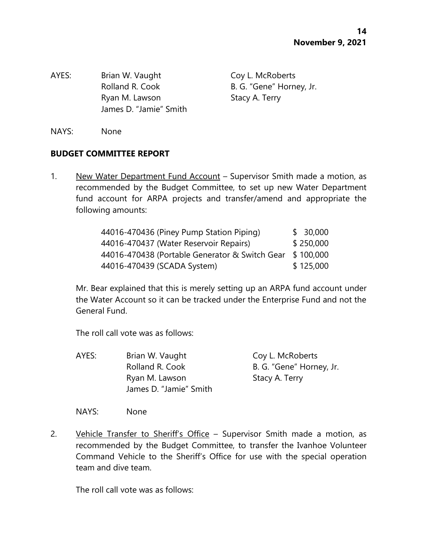AYES: Brian W. Vaught Coy L. McRoberts Ryan M. Lawson Stacy A. Terry James D. "Jamie" Smith

Rolland R. Cook B. G. "Gene" Horney, Jr.

NAYS: None

### **BUDGET COMMITTEE REPORT**

1. New Water Department Fund Account – Supervisor Smith made a motion, as recommended by the Budget Committee, to set up new Water Department fund account for ARPA projects and transfer/amend and appropriate the following amounts:

| 44016-470436 (Piney Pump Station Piping)       | \$30,000  |
|------------------------------------------------|-----------|
| 44016-470437 (Water Reservoir Repairs)         | \$250,000 |
| 44016-470438 (Portable Generator & Switch Gear | \$100,000 |
| 44016-470439 (SCADA System)                    | \$125,000 |

Mr. Bear explained that this is merely setting up an ARPA fund account under the Water Account so it can be tracked under the Enterprise Fund and not the General Fund.

The roll call vote was as follows:

AYES: Brian W. Vaught Coy L. McRoberts Rolland R. Cook B. G. "Gene" Horney, Jr. Ryan M. Lawson Stacy A. Terry James D. "Jamie" Smith

NAYS: None

2. Vehicle Transfer to Sheriff's Office – Supervisor Smith made a motion, as recommended by the Budget Committee, to transfer the Ivanhoe Volunteer Command Vehicle to the Sheriff's Office for use with the special operation team and dive team.

The roll call vote was as follows: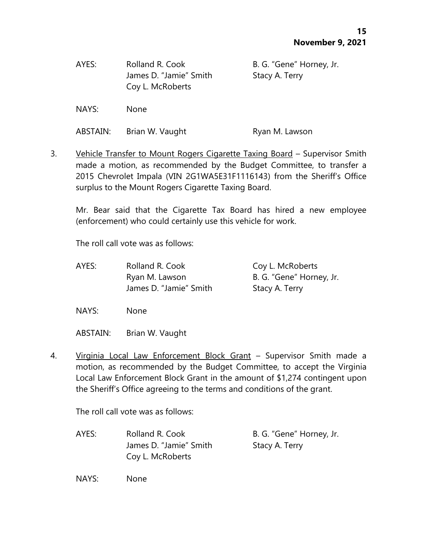| AYES: | Rolland R. Cook        | B. G. "Gene" Horney, Jr. |
|-------|------------------------|--------------------------|
|       | James D. "Jamie" Smith | Stacy A. Terry           |
|       | Coy L. McRoberts       |                          |

NAYS: None

ABSTAIN: Brian W. Vaught Ryan M. Lawson

3. Vehicle Transfer to Mount Rogers Cigarette Taxing Board - Supervisor Smith made a motion, as recommended by the Budget Committee, to transfer a 2015 Chevrolet Impala (VIN 2G1WA5E31F1116143) from the Sheriff's Office surplus to the Mount Rogers Cigarette Taxing Board.

Mr. Bear said that the Cigarette Tax Board has hired a new employee (enforcement) who could certainly use this vehicle for work.

The roll call vote was as follows:

| AYES: | Rolland R. Cook        | Coy L. McRoberts         |
|-------|------------------------|--------------------------|
|       | Ryan M. Lawson         | B. G. "Gene" Horney, Jr. |
|       | James D. "Jamie" Smith | Stacy A. Terry           |

NAYS: None

ABSTAIN: Brian W. Vaught

4. Virqinia Local Law Enforcement Block Grant - Supervisor Smith made a motion, as recommended by the Budget Committee, to accept the Virginia Local Law Enforcement Block Grant in the amount of \$1,274 contingent upon the Sheriff's Office agreeing to the terms and conditions of the grant.

The roll call vote was as follows:

AYES: Rolland R. Cook B. G. "Gene" Horney, Jr. James D. "Jamie" Smith Stacy A. Terry Coy L. McRoberts

NAYS: None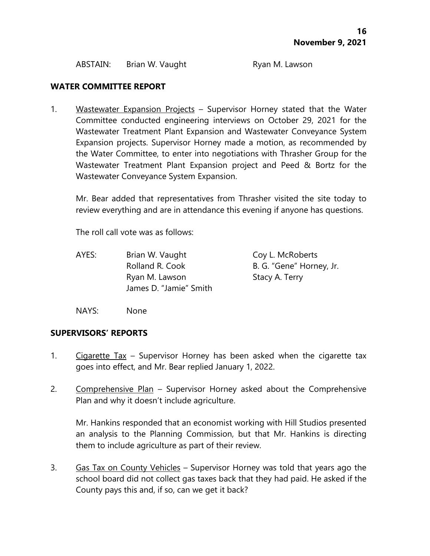ABSTAIN: Brian W. Vaught Ryan M. Lawson

### **WATER COMMITTEE REPORT**

1. Wastewater Expansion Projects – Supervisor Horney stated that the Water Committee conducted engineering interviews on October 29, 2021 for the Wastewater Treatment Plant Expansion and Wastewater Conveyance System Expansion projects. Supervisor Horney made a motion, as recommended by the Water Committee, to enter into negotiations with Thrasher Group for the Wastewater Treatment Plant Expansion project and Peed & Bortz for the Wastewater Conveyance System Expansion.

Mr. Bear added that representatives from Thrasher visited the site today to review everything and are in attendance this evening if anyone has questions.

The roll call vote was as follows:

AYES: Brian W. Vaught Coy L. McRoberts Rolland R. Cook B. G. "Gene" Horney, Jr. Ryan M. Lawson Stacy A. Terry James D. "Jamie" Smith

NAYS: None

### **SUPERVISORS' REPORTS**

- 1. Cigarette Tax Supervisor Horney has been asked when the cigarette tax goes into effect, and Mr. Bear replied January 1, 2022.
- 2. Comprehensive Plan Supervisor Horney asked about the Comprehensive Plan and why it doesn't include agriculture.

Mr. Hankins responded that an economist working with Hill Studios presented an analysis to the Planning Commission, but that Mr. Hankins is directing them to include agriculture as part of their review.

3. Gas Tax on County Vehicles – Supervisor Horney was told that years ago the school board did not collect gas taxes back that they had paid. He asked if the County pays this and, if so, can we get it back?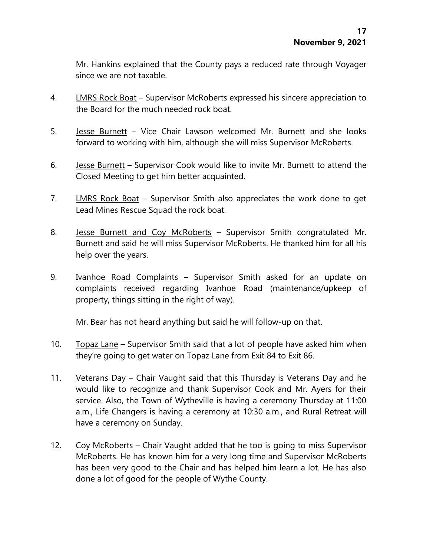Mr. Hankins explained that the County pays a reduced rate through Voyager since we are not taxable.

- 4. LMRS Rock Boat Supervisor McRoberts expressed his sincere appreciation to the Board for the much needed rock boat.
- 5. Jesse Burnett Vice Chair Lawson welcomed Mr. Burnett and she looks forward to working with him, although she will miss Supervisor McRoberts.
- 6. Jesse Burnett Supervisor Cook would like to invite Mr. Burnett to attend the Closed Meeting to get him better acquainted.
- 7. LMRS Rock Boat Supervisor Smith also appreciates the work done to get Lead Mines Rescue Squad the rock boat.
- 8. Jesse Burnett and Coy McRoberts Supervisor Smith congratulated Mr. Burnett and said he will miss Supervisor McRoberts. He thanked him for all his help over the years.
- 9. Ivanhoe Road Complaints Supervisor Smith asked for an update on complaints received regarding Ivanhoe Road (maintenance/upkeep of property, things sitting in the right of way).

Mr. Bear has not heard anything but said he will follow-up on that.

- 10. Topaz Lane Supervisor Smith said that a lot of people have asked him when they're going to get water on Topaz Lane from Exit 84 to Exit 86.
- 11. Veterans Day Chair Vaught said that this Thursday is Veterans Day and he would like to recognize and thank Supervisor Cook and Mr. Ayers for their service. Also, the Town of Wytheville is having a ceremony Thursday at 11:00 a.m., Life Changers is having a ceremony at 10:30 a.m., and Rural Retreat will have a ceremony on Sunday.
- 12. Coy McRoberts Chair Vaught added that he too is going to miss Supervisor McRoberts. He has known him for a very long time and Supervisor McRoberts has been very good to the Chair and has helped him learn a lot. He has also done a lot of good for the people of Wythe County.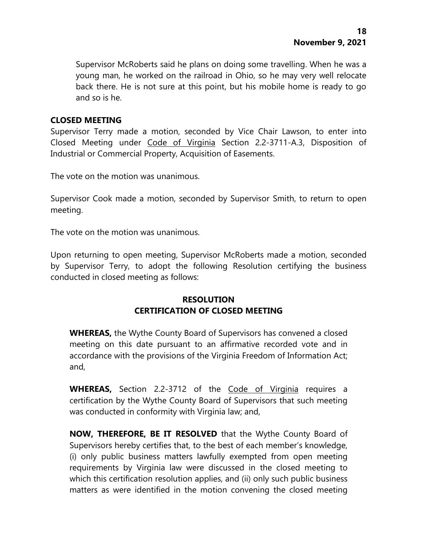Supervisor McRoberts said he plans on doing some travelling. When he was a young man, he worked on the railroad in Ohio, so he may very well relocate back there. He is not sure at this point, but his mobile home is ready to go and so is he.

## **CLOSED MEETING**

Supervisor Terry made a motion, seconded by Vice Chair Lawson, to enter into Closed Meeting under Code of Virginia Section 2.2-3711-A.3, Disposition of Industrial or Commercial Property, Acquisition of Easements.

The vote on the motion was unanimous.

Supervisor Cook made a motion, seconded by Supervisor Smith, to return to open meeting.

The vote on the motion was unanimous.

Upon returning to open meeting, Supervisor McRoberts made a motion, seconded by Supervisor Terry, to adopt the following Resolution certifying the business conducted in closed meeting as follows:

# **RESOLUTION CERTIFICATION OF CLOSED MEETING**

**WHEREAS,** the Wythe County Board of Supervisors has convened a closed meeting on this date pursuant to an affirmative recorded vote and in accordance with the provisions of the Virginia Freedom of Information Act; and,

**WHEREAS,** Section 2.2-3712 of the Code of Virginia requires a certification by the Wythe County Board of Supervisors that such meeting was conducted in conformity with Virginia law; and,

**NOW, THEREFORE, BE IT RESOLVED** that the Wythe County Board of Supervisors hereby certifies that, to the best of each member's knowledge, (i) only public business matters lawfully exempted from open meeting requirements by Virginia law were discussed in the closed meeting to which this certification resolution applies, and (ii) only such public business matters as were identified in the motion convening the closed meeting